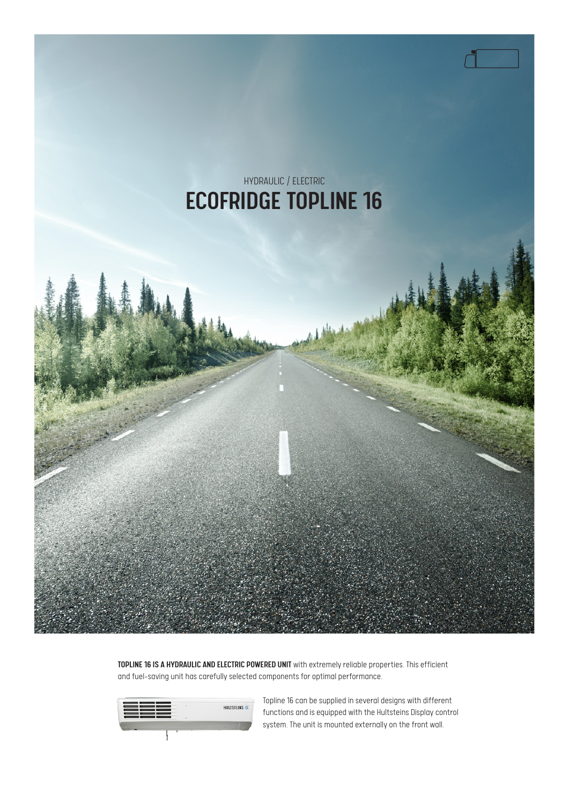

TOPLINE 16 IS A HYDRAULIC AND ELECTRIC POWERED UNIT with extremely reliable properties. This efficient and fuel-saving unit has carefully selected components for optimal performance.



Topline 16 can be supplied in several designs with different functions and is equipped with the Hultsteins Display control system. The unit is mounted externally on the front wall.